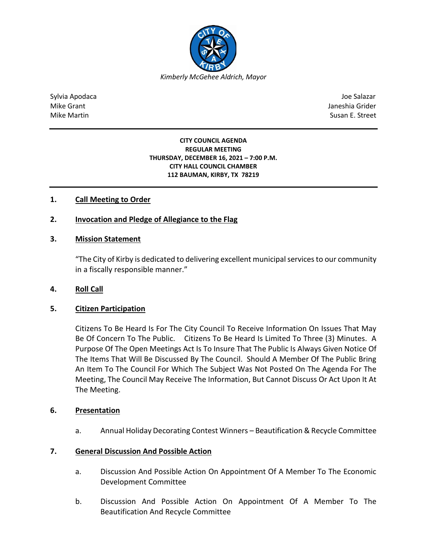

Sylvia Apodaca Joe Salazar Joe Salazar Joe Salazar Joe Salazar Joe Salazar Joe Salazar Joe Salazar Joe Salazar Mike Grant **Janeshia Grider** Janeshia Grider **Janeshia Grider** Janeshia Grider Janeshia Grider Mike Martin Susan E. Street

#### **CITY COUNCIL AGENDA REGULAR MEETING THURSDAY, DECEMBER 16, 2021 – 7:00 P.M. CITY HALL COUNCIL CHAMBER 112 BAUMAN, KIRBY, TX 78219**

# **1. Call Meeting to Order**

## **2. Invocation and Pledge of Allegiance to the Flag**

### **3. Mission Statement**

"The City of Kirby is dedicated to delivering excellent municipal services to our community in a fiscally responsible manner."

### **4. Roll Call**

### **5. Citizen Participation**

Citizens To Be Heard Is For The City Council To Receive Information On Issues That May Be Of Concern To The Public. Citizens To Be Heard Is Limited To Three (3) Minutes. A Purpose Of The Open Meetings Act Is To Insure That The Public Is Always Given Notice Of The Items That Will Be Discussed By The Council. Should A Member Of The Public Bring An Item To The Council For Which The Subject Was Not Posted On The Agenda For The Meeting, The Council May Receive The Information, But Cannot Discuss Or Act Upon It At The Meeting.

### **6. Presentation**

a. Annual Holiday Decorating Contest Winners – Beautification & Recycle Committee

### **7. General Discussion And Possible Action**

- a. Discussion And Possible Action On Appointment Of A Member To The Economic Development Committee
- b. Discussion And Possible Action On Appointment Of A Member To The Beautification And Recycle Committee